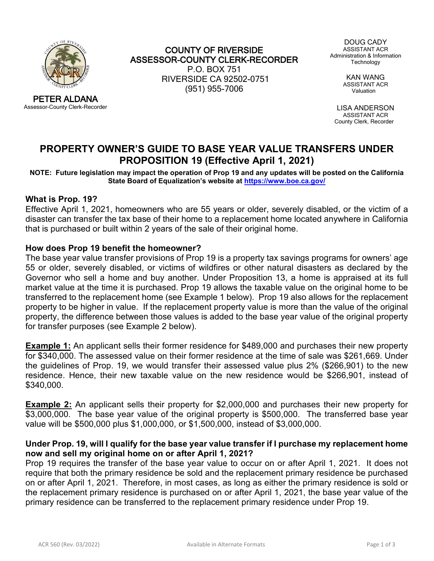

PETER ALDANA Assessor-County Clerk-Recorder

COUNTY OF RIVERSIDE ASSESSOR-COUNTY CLERK-RECORDER P.O. BOX 751 RIVERSIDE CA 92502-0751 (951) 955-7006

DOUG CADY ASSISTANT ACR Administration & Information Technology

> KAN WANG ASSISTANT ACR Valuation

LISA ANDERSON ASSISTANT ACR County Clerk, Recorder

# **PROPERTY OWNER'S GUIDE TO BASE YEAR VALUE TRANSFERS UNDER PROPOSITION 19 (Effective April 1, 2021)**

**NOTE: Future legislation may impact the operation of Prop 19 and any updates will be posted on the California State Board of Equalization's website at<https://www.boe.ca.gov/>**

#### **What is Prop. 19?**

Effective April 1, 2021, homeowners who are 55 years or older, severely disabled, or the victim of a disaster can transfer the tax base of their home to a replacement home located anywhere in California that is purchased or built within 2 years of the sale of their original home.

#### **How does Prop 19 benefit the homeowner?**

The base year value transfer provisions of Prop 19 is a property tax savings programs for owners' age 55 or older, severely disabled, or victims of wildfires or other natural disasters as declared by the Governor who sell a home and buy another. Under Proposition 13, a home is appraised at its full market value at the time it is purchased. Prop 19 allows the taxable value on the original home to be transferred to the replacement home (see Example 1 below). Prop 19 also allows for the replacement property to be higher in value. If the replacement property value is more than the value of the original property, the difference between those values is added to the base year value of the original property for transfer purposes (see Example 2 below).

**Example 1:** An applicant sells their former residence for \$489,000 and purchases their new property for \$340,000. The assessed value on their former residence at the time of sale was \$261,669. Under the guidelines of Prop. 19, we would transfer their assessed value plus 2% (\$266,901) to the new residence. Hence, their new taxable value on the new residence would be \$266,901, instead of \$340,000.

**Example 2:** An applicant sells their property for \$2,000,000 and purchases their new property for \$3,000,000. The base year value of the original property is \$500,000. The transferred base year value will be \$500,000 plus \$1,000,000, or \$1,500,000, instead of \$3,000,000.

#### **Under Prop. 19, will I qualify for the base year value transfer if I purchase my replacement home now and sell my original home on or after April 1, 2021?**

Prop 19 requires the transfer of the base year value to occur on or after April 1, 2021. It does not require that both the primary residence be sold and the replacement primary residence be purchased on or after April 1, 2021. Therefore, in most cases, as long as either the primary residence is sold or the replacement primary residence is purchased on or after April 1, 2021, the base year value of the primary residence can be transferred to the replacement primary residence under Prop 19.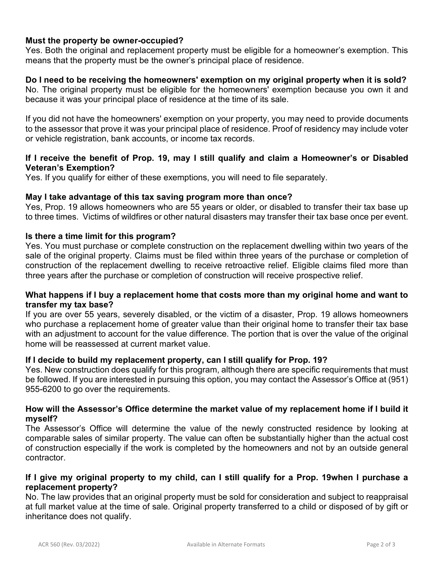# **Must the property be owner-occupied?**

Yes. Both the original and replacement property must be eligible for a homeowner's exemption. This means that the property must be the owner's principal place of residence.

# **Do I need to be receiving the homeowners' exemption on my original property when it is sold?**

No. The original property must be eligible for the homeowners' exemption because you own it and because it was your principal place of residence at the time of its sale.

If you did not have the homeowners' exemption on your property, you may need to provide documents to the assessor that prove it was your principal place of residence. Proof of residency may include voter or vehicle registration, bank accounts, or income tax records.

# **If I receive the benefit of Prop. 19, may I still qualify and claim a Homeowner's or Disabled Veteran's Exemption?**

Yes. If you qualify for either of these exemptions, you will need to file separately.

#### **May I take advantage of this tax saving program more than once?**

Yes, Prop. 19 allows homeowners who are 55 years or older, or disabled to transfer their tax base up to three times. Victims of wildfires or other natural disasters may transfer their tax base once per event.

# **Is there a time limit for this program?**

Yes. You must purchase or complete construction on the replacement dwelling within two years of the sale of the original property. Claims must be filed within three years of the purchase or completion of construction of the replacement dwelling to receive retroactive relief. Eligible claims filed more than three years after the purchase or completion of construction will receive prospective relief.

#### **What happens if I buy a replacement home that costs more than my original home and want to transfer my tax base?**

If you are over 55 years, severely disabled, or the victim of a disaster, Prop. 19 allows homeowners who purchase a replacement home of greater value than their original home to transfer their tax base with an adjustment to account for the value difference. The portion that is over the value of the original home will be reassessed at current market value.

# **If I decide to build my replacement property, can I still qualify for Prop. 19?**

Yes. New construction does qualify for this program, although there are specific requirements that must be followed. If you are interested in pursuing this option, you may contact the Assessor's Office at (951) 955-6200 to go over the requirements.

#### **How will the Assessor's Office determine the market value of my replacement home if I build it myself?**

The Assessor's Office will determine the value of the newly constructed residence by looking at comparable sales of similar property. The value can often be substantially higher than the actual cost of construction especially if the work is completed by the homeowners and not by an outside general contractor.

#### **If I give my original property to my child, can I still qualify for a Prop. 19when I purchase a replacement property?**

No. The law provides that an original property must be sold for consideration and subject to reappraisal at full market value at the time of sale. Original property transferred to a child or disposed of by gift or inheritance does not qualify.